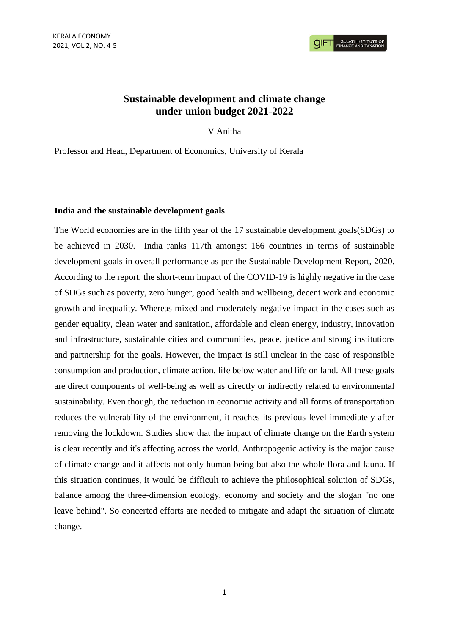**GULATI INSTITUTE O**<br>FINANCE AND TAXATIO

# **Sustainable development and climate change under union budget 2021-2022**

V Anitha

Professor and Head, Department of Economics, University of Kerala

## **India and the sustainable development goals**

The World economies are in the fifth year of the 17 sustainable development goals(SDGs) to be achieved in 2030. India ranks 117th amongst 166 countries in terms of sustainable development goals in overall performance as per the Sustainable Development Report, 2020. According to the report, the short-term impact of the COVID-19 is highly negative in the case of SDGs such as poverty, zero hunger, good health and wellbeing, decent work and economic growth and inequality. Whereas mixed and moderately negative impact in the cases such as gender equality, clean water and sanitation, affordable and clean energy, industry, innovation and infrastructure, sustainable cities and communities, peace, justice and strong institutions and partnership for the goals. However, the impact is still unclear in the case of responsible consumption and production, climate action, life below water and life on land. All these goals are direct components of well-being as well as directly or indirectly related to environmental sustainability. Even though, the reduction in economic activity and all forms of transportation reduces the vulnerability of the environment, it reaches its previous level immediately after removing the lockdown. Studies show that the impact of climate change on the Earth system is clear recently and it's affecting across the world. Anthropogenic activity is the major cause of climate change and it affects not only human being but also the whole flora and fauna. If this situation continues, it would be difficult to achieve the philosophical solution of SDGs, balance among the three-dimension ecology, economy and society and the slogan "no one leave behind". So concerted efforts are needed to mitigate and adapt the situation of climate change.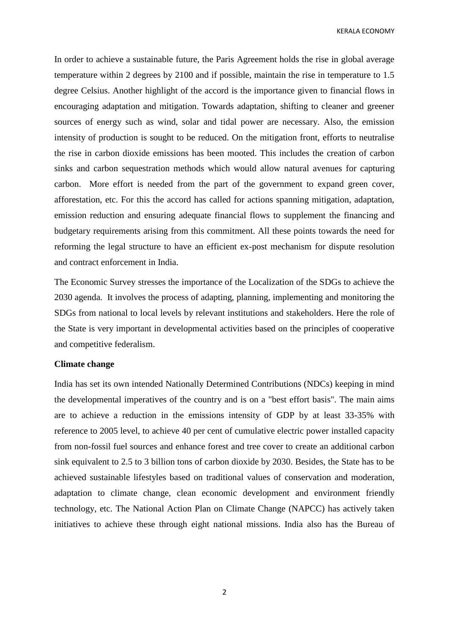KERALA ECONOMY

In order to achieve a sustainable future, the Paris Agreement holds the rise in global average temperature within 2 degrees by 2100 and if possible, maintain the rise in temperature to 1.5 degree Celsius. Another highlight of the accord is the importance given to financial flows in encouraging adaptation and mitigation. Towards adaptation, shifting to cleaner and greener sources of energy such as wind, solar and tidal power are necessary. Also, the emission intensity of production is sought to be reduced. On the mitigation front, efforts to neutralise the rise in carbon dioxide emissions has been mooted. This includes the creation of carbon sinks and carbon sequestration methods which would allow natural avenues for capturing carbon. More effort is needed from the part of the government to expand green cover, afforestation, etc. For this the accord has called for actions spanning mitigation, adaptation, emission reduction and ensuring adequate financial flows to supplement the financing and budgetary requirements arising from this commitment. All these points towards the need for reforming the legal structure to have an efficient ex-post mechanism for dispute resolution and contract enforcement in India.

The Economic Survey stresses the importance of the Localization of the SDGs to achieve the 2030 agenda. It involves the process of adapting, planning, implementing and monitoring the SDGs from national to local levels by relevant institutions and stakeholders. Here the role of the State is very important in developmental activities based on the principles of cooperative and competitive federalism.

#### **Climate change**

India has set its own intended Nationally Determined Contributions (NDCs) keeping in mind the developmental imperatives of the country and is on a "best effort basis". The main aims are to achieve a reduction in the emissions intensity of GDP by at least 33-35% with reference to 2005 level, to achieve 40 per cent of cumulative electric power installed capacity from non-fossil fuel sources and enhance forest and tree cover to create an additional carbon sink equivalent to 2.5 to 3 billion tons of carbon dioxide by 2030. Besides, the State has to be achieved sustainable lifestyles based on traditional values of conservation and moderation, adaptation to climate change, clean economic development and environment friendly technology, etc. The National Action Plan on Climate Change (NAPCC) has actively taken initiatives to achieve these through eight national missions. India also has the Bureau of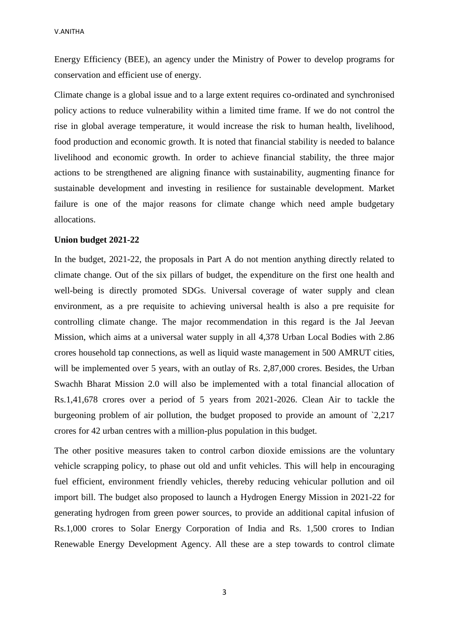Energy Efficiency (BEE), an agency under the Ministry of Power to develop programs for conservation and efficient use of energy.

Climate change is a global issue and to a large extent requires co-ordinated and synchronised policy actions to reduce vulnerability within a limited time frame. If we do not control the rise in global average temperature, it would increase the risk to human health, livelihood, food production and economic growth. It is noted that financial stability is needed to balance livelihood and economic growth. In order to achieve financial stability, the three major actions to be strengthened are aligning finance with sustainability, augmenting finance for sustainable development and investing in resilience for sustainable development. Market failure is one of the major reasons for climate change which need ample budgetary allocations.

#### **Union budget 2021-22**

In the budget, 2021-22, the proposals in Part A do not mention anything directly related to climate change. Out of the six pillars of budget, the expenditure on the first one health and well-being is directly promoted SDGs. Universal coverage of water supply and clean environment, as a pre requisite to achieving universal health is also a pre requisite for controlling climate change. The major recommendation in this regard is the Jal Jeevan Mission, which aims at a universal water supply in all 4,378 Urban Local Bodies with 2.86 crores household tap connections, as well as liquid waste management in 500 AMRUT cities, will be implemented over 5 years, with an outlay of Rs. 2,87,000 crores. Besides, the Urban Swachh Bharat Mission 2.0 will also be implemented with a total financial allocation of Rs.1,41,678 crores over a period of 5 years from 2021-2026. Clean Air to tackle the burgeoning problem of air pollution, the budget proposed to provide an amount of `2,217 crores for 42 urban centres with a million-plus population in this budget.

The other positive measures taken to control carbon dioxide emissions are the voluntary vehicle scrapping policy, to phase out old and unfit vehicles. This will help in encouraging fuel efficient, environment friendly vehicles, thereby reducing vehicular pollution and oil import bill. The budget also proposed to launch a Hydrogen Energy Mission in 2021-22 for generating hydrogen from green power sources, to provide an additional capital infusion of Rs.1,000 crores to Solar Energy Corporation of India and Rs. 1,500 crores to Indian Renewable Energy Development Agency. All these are a step towards to control climate

3